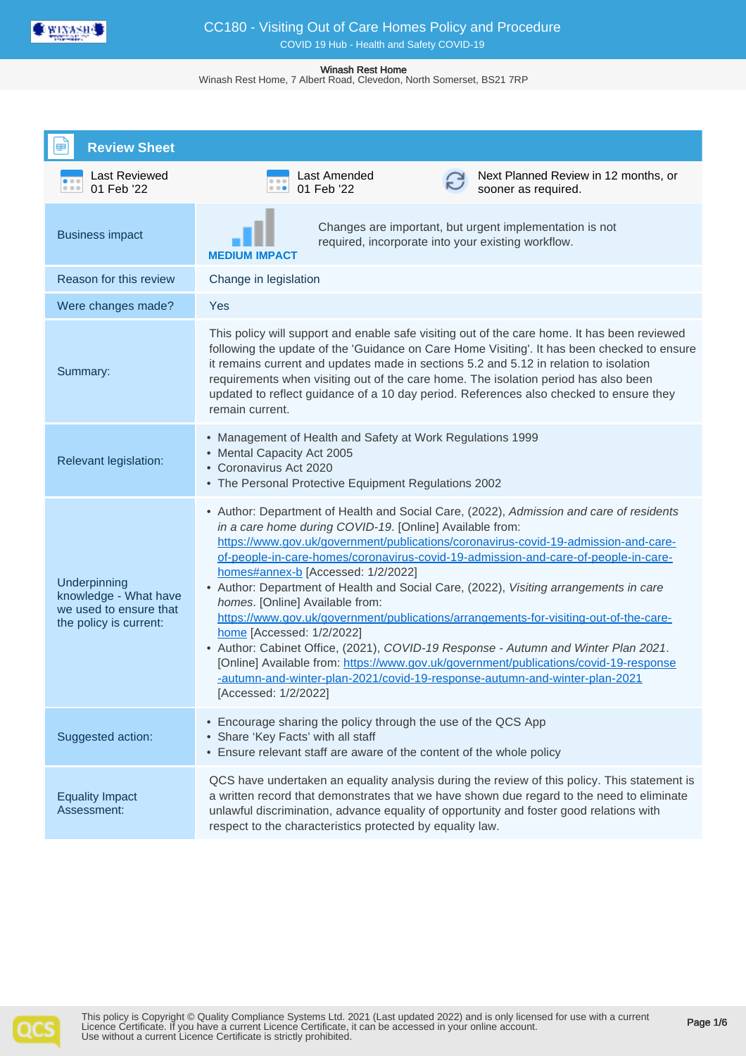

Winash Rest Home, 7 Albert Road, Clevedon, North Somerset, BS21 7RP

| <b>Review Sheet</b>                                                                       |                                                                                                                                                                                                                                                                                                                                                                                                                                                                                                                                                                                                                                                                                                                                                                                                                                                                                                               |
|-------------------------------------------------------------------------------------------|---------------------------------------------------------------------------------------------------------------------------------------------------------------------------------------------------------------------------------------------------------------------------------------------------------------------------------------------------------------------------------------------------------------------------------------------------------------------------------------------------------------------------------------------------------------------------------------------------------------------------------------------------------------------------------------------------------------------------------------------------------------------------------------------------------------------------------------------------------------------------------------------------------------|
| Last Reviewed<br>01 Feb '22                                                               | Last Amended<br>Next Planned Review in 12 months, or<br>01 Feb '22<br>0.0.0<br>sooner as required.                                                                                                                                                                                                                                                                                                                                                                                                                                                                                                                                                                                                                                                                                                                                                                                                            |
| <b>Business impact</b>                                                                    | Changes are important, but urgent implementation is not<br>required, incorporate into your existing workflow.<br>MEDIUM IMPACT                                                                                                                                                                                                                                                                                                                                                                                                                                                                                                                                                                                                                                                                                                                                                                                |
| Reason for this review                                                                    | Change in legislation                                                                                                                                                                                                                                                                                                                                                                                                                                                                                                                                                                                                                                                                                                                                                                                                                                                                                         |
| Were changes made?                                                                        | Yes                                                                                                                                                                                                                                                                                                                                                                                                                                                                                                                                                                                                                                                                                                                                                                                                                                                                                                           |
| Summary:                                                                                  | This policy will support and enable safe visiting out of the care home. It has been reviewed<br>following the update of the 'Guidance on Care Home Visiting'. It has been checked to ensure<br>it remains current and updates made in sections 5.2 and 5.12 in relation to isolation<br>requirements when visiting out of the care home. The isolation period has also been<br>updated to reflect guidance of a 10 day period. References also checked to ensure they<br>remain current.                                                                                                                                                                                                                                                                                                                                                                                                                      |
| <b>Relevant legislation:</b>                                                              | • Management of Health and Safety at Work Regulations 1999<br>• Mental Capacity Act 2005<br>• Coronavirus Act 2020<br>• The Personal Protective Equipment Regulations 2002                                                                                                                                                                                                                                                                                                                                                                                                                                                                                                                                                                                                                                                                                                                                    |
| Underpinning<br>knowledge - What have<br>we used to ensure that<br>the policy is current: | • Author: Department of Health and Social Care, (2022), Admission and care of residents<br>in a care home during COVID-19. [Online] Available from:<br>https://www.gov.uk/government/publications/coronavirus-covid-19-admission-and-care-<br>of-people-in-care-homes/coronavirus-covid-19-admission-and-care-of-people-in-care-<br>homes#annex-b [Accessed: 1/2/2022]<br>• Author: Department of Health and Social Care, (2022), Visiting arrangements in care<br>homes. [Online] Available from:<br>https://www.gov.uk/government/publications/arrangements-for-visiting-out-of-the-care-<br>home [Accessed: 1/2/2022]<br>• Author: Cabinet Office, (2021), COVID-19 Response - Autumn and Winter Plan 2021.<br>[Online] Available from: https://www.gov.uk/government/publications/covid-19-response<br>-autumn-and-winter-plan-2021/covid-19-response-autumn-and-winter-plan-2021<br>[Accessed: 1/2/2022] |
| Suggested action:                                                                         | • Encourage sharing the policy through the use of the QCS App<br>• Share 'Key Facts' with all staff<br>• Ensure relevant staff are aware of the content of the whole policy                                                                                                                                                                                                                                                                                                                                                                                                                                                                                                                                                                                                                                                                                                                                   |
| <b>Equality Impact</b><br>Assessment:                                                     | QCS have undertaken an equality analysis during the review of this policy. This statement is<br>a written record that demonstrates that we have shown due regard to the need to eliminate<br>unlawful discrimination, advance equality of opportunity and foster good relations with<br>respect to the characteristics protected by equality law.                                                                                                                                                                                                                                                                                                                                                                                                                                                                                                                                                             |

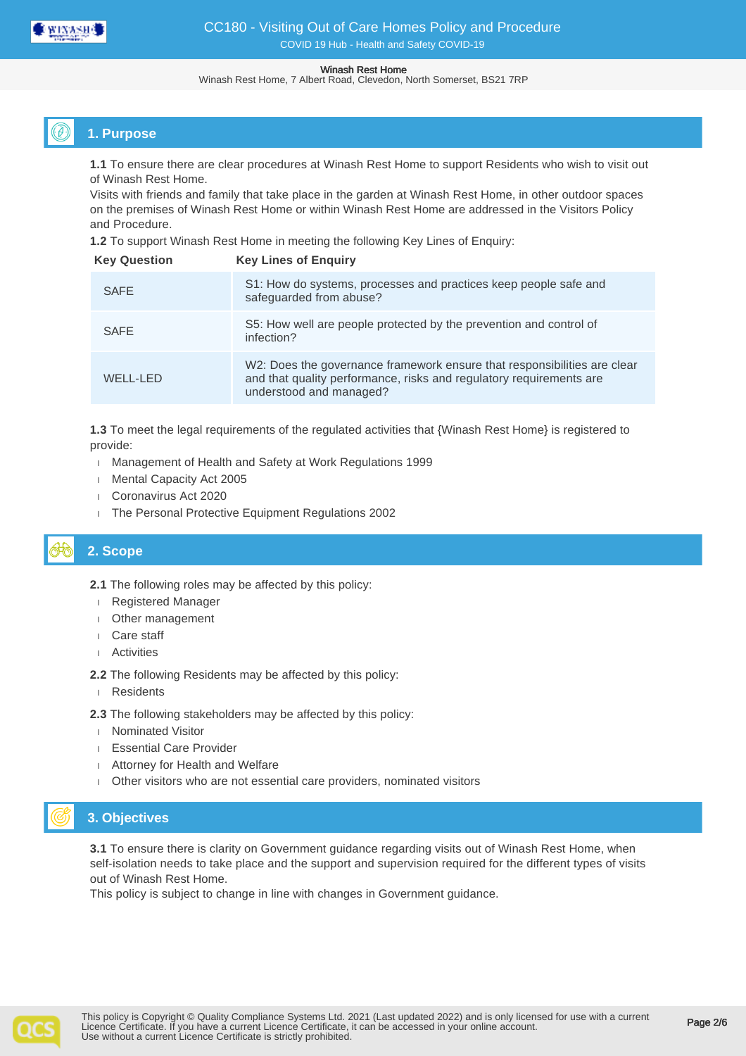

Winash Rest Home, 7 Albert Road, Clevedon, North Somerset, BS21 7RP

# **1. Purpose**

**1.1** To ensure there are clear procedures at Winash Rest Home to support Residents who wish to visit out of Winash Rest Home.

Visits with friends and family that take place in the garden at Winash Rest Home, in other outdoor spaces on the premises of Winash Rest Home or within Winash Rest Home are addressed in the Visitors Policy and Procedure.

**1.2** To support Winash Rest Home in meeting the following Key Lines of Enquiry:

| <b>Key Question</b> | <b>Key Lines of Enguiry</b>                                                                                                                                                |
|---------------------|----------------------------------------------------------------------------------------------------------------------------------------------------------------------------|
| <b>SAFE</b>         | S1: How do systems, processes and practices keep people safe and<br>safeguarded from abuse?                                                                                |
| <b>SAFE</b>         | S5: How well are people protected by the prevention and control of<br>infection?                                                                                           |
| WELL-LED            | W2: Does the governance framework ensure that responsibilities are clear<br>and that quality performance, risks and regulatory requirements are<br>understood and managed? |

**1.3** To meet the legal requirements of the regulated activities that {Winash Rest Home} is registered to provide:

- Management of Health and Safety at Work Regulations 1999
- **Mental Capacity Act 2005**
- Coronavirus Act 2020
- The Personal Protective Equipment Regulations 2002

# **2. Scope**

**2.1** The following roles may be affected by this policy:

- Registered Manager
- Other management
- Care staff
- Activities

**2.2** The following Residents may be affected by this policy:

Residents

**2.3** The following stakeholders may be affected by this policy:

- Nominated Visitor
- Essential Care Provider
- Attorney for Health and Welfare
- Other visitors who are not essential care providers, nominated visitors

# **3. Objectives**

**3.1** To ensure there is clarity on Government guidance regarding visits out of Winash Rest Home, when self-isolation needs to take place and the support and supervision required for the different types of visits out of Winash Rest Home.

This policy is subject to change in line with changes in Government guidance.

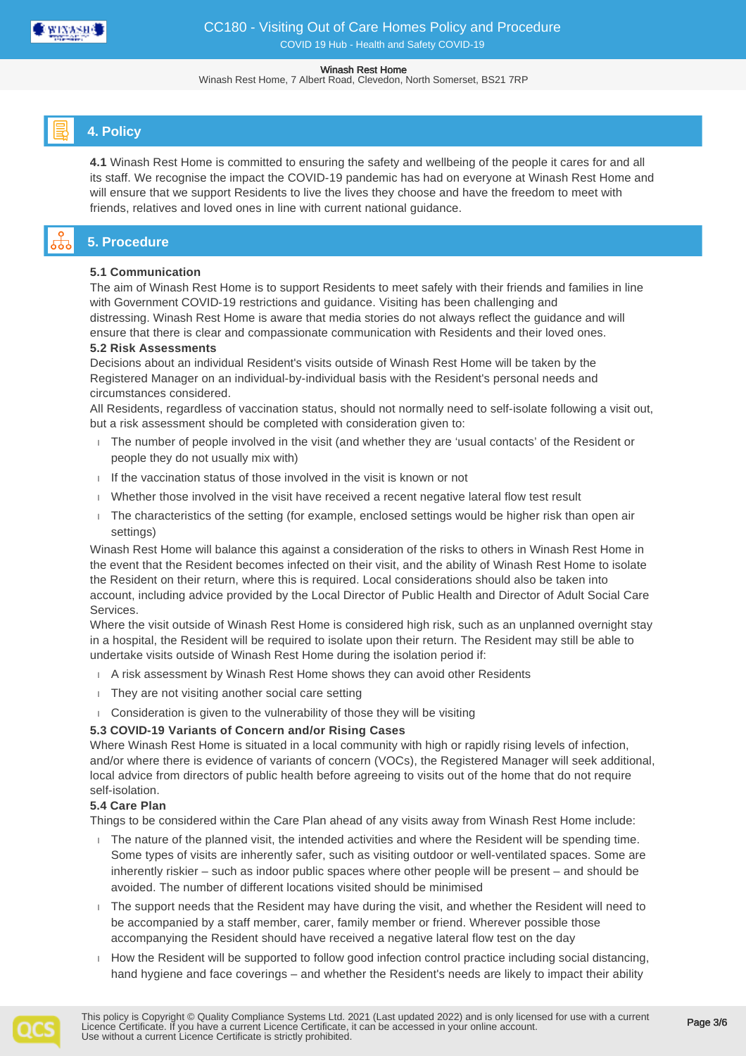

Winash Rest Home, 7 Albert Road, Clevedon, North Somerset, BS21 7RP

# **4. Policy**

**4.1** Winash Rest Home is committed to ensuring the safety and wellbeing of the people it cares for and all its staff. We recognise the impact the COVID-19 pandemic has had on everyone at Winash Rest Home and will ensure that we support Residents to live the lives they choose and have the freedom to meet with friends, relatives and loved ones in line with current national guidance.

# **5. Procedure**

## **5.1 Communication**

The aim of Winash Rest Home is to support Residents to meet safely with their friends and families in line with Government COVID-19 restrictions and guidance. Visiting has been challenging and distressing. Winash Rest Home is aware that media stories do not always reflect the guidance and will ensure that there is clear and compassionate communication with Residents and their loved ones.

## **5.2 Risk Assessments**

Decisions about an individual Resident's visits outside of Winash Rest Home will be taken by the Registered Manager on an individual-by-individual basis with the Resident's personal needs and circumstances considered.

All Residents, regardless of vaccination status, should not normally need to self-isolate following a visit out, but a risk assessment should be completed with consideration given to:

- The number of people involved in the visit (and whether they are 'usual contacts' of the Resident or people they do not usually mix with)
- $I$  If the vaccination status of those involved in the visit is known or not
- Whether those involved in the visit have received a recent negative lateral flow test result
- The characteristics of the setting (for example, enclosed settings would be higher risk than open air settings)

Winash Rest Home will balance this against a consideration of the risks to others in Winash Rest Home in the event that the Resident becomes infected on their visit, and the ability of Winash Rest Home to isolate the Resident on their return, where this is required. Local considerations should also be taken into account, including advice provided by the Local Director of Public Health and Director of Adult Social Care **Services** 

Where the visit outside of Winash Rest Home is considered high risk, such as an unplanned overnight stay in a hospital, the Resident will be required to isolate upon their return. The Resident may still be able to undertake visits outside of Winash Rest Home during the isolation period if:

- A risk assessment by Winash Rest Home shows they can avoid other Residents
- They are not visiting another social care setting
- Consideration is given to the vulnerability of those they will be visiting

## **5.3 COVID-19 Variants of Concern and/or Rising Cases**

Where Winash Rest Home is situated in a local community with high or rapidly rising levels of infection, and/or where there is evidence of variants of concern (VOCs), the Registered Manager will seek additional, local advice from directors of public health before agreeing to visits out of the home that do not require self-isolation.

## **5.4 Care Plan**

Things to be considered within the Care Plan ahead of any visits away from Winash Rest Home include:

- The nature of the planned visit, the intended activities and where the Resident will be spending time. Some types of visits are inherently safer, such as visiting outdoor or well-ventilated spaces. Some are inherently riskier – such as indoor public spaces where other people will be present – and should be avoided. The number of different locations visited should be minimised
- The support needs that the Resident may have during the visit, and whether the Resident will need to be accompanied by a staff member, carer, family member or friend. Wherever possible those accompanying the Resident should have received a negative lateral flow test on the day
- $\Box$  How the Resident will be supported to follow good infection control practice including social distancing, hand hygiene and face coverings – and whether the Resident's needs are likely to impact their ability

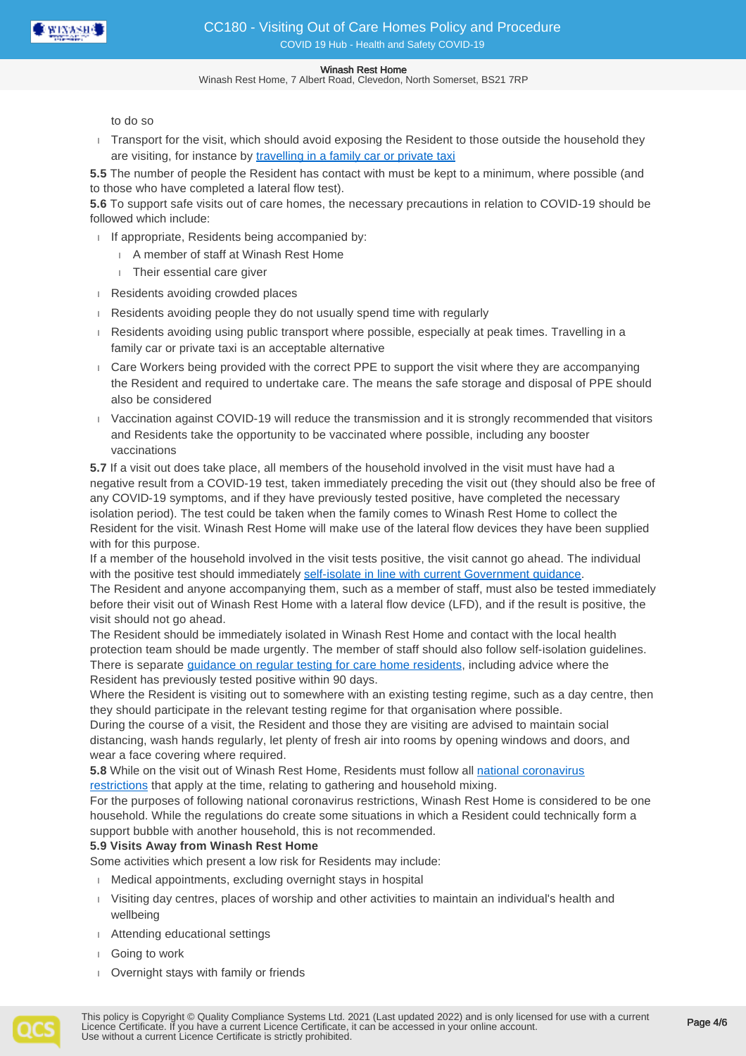

Winash Rest Home, 7 Albert Road, Clevedon, North Somerset, BS21 7RP

to do so

Transport for the visit, which should avoid exposing the Resident to those outside the household they are visiting, for instance by [travelling in a family car or private taxi](https://www.gov.uk/guidance/coronavirus-covid-19-safer-travel-guidance-for-passengers)

**5.5** The number of people the Resident has contact with must be kept to a minimum, where possible (and to those who have completed a lateral flow test).

**5.6** To support safe visits out of care homes, the necessary precautions in relation to COVID-19 should be followed which include:

- If appropriate, Residents being accompanied by:
	- A member of staff at Winash Rest Home
	- Their essential care giver
- Residents avoiding crowded places
- Residents avoiding people they do not usually spend time with regularly
- Residents avoiding using public transport where possible, especially at peak times. Travelling in a family car or private taxi is an acceptable alternative
- Care Workers being provided with the correct PPE to support the visit where they are accompanying the Resident and required to undertake care. The means the safe storage and disposal of PPE should also be considered
- Vaccination against COVID-19 will reduce the transmission and it is strongly recommended that visitors and Residents take the opportunity to be vaccinated where possible, including any booster vaccinations

**5.7** If a visit out does take place, all members of the household involved in the visit must have had a negative result from a COVID-19 test, taken immediately preceding the visit out (they should also be free of any COVID-19 symptoms, and if they have previously tested positive, have completed the necessary isolation period). The test could be taken when the family comes to Winash Rest Home to collect the Resident for the visit. Winash Rest Home will make use of the lateral flow devices they have been supplied with for this purpose.

If a member of the household involved in the visit tests positive, the visit cannot go ahead. The individual with the positive test should immediately [self-isolate in line with current Government guidance.](https://www.gov.uk/government/publications/covid-19-stay-at-home-guidance/stay-at-home-guidance-for-households-with-possible-coronavirus-covid-19-infection)

The Resident and anyone accompanying them, such as a member of staff, must also be tested immediately before their visit out of Winash Rest Home with a lateral flow device (LFD), and if the result is positive, the visit should not go ahead.

The Resident should be immediately isolated in Winash Rest Home and contact with the local health protection team should be made urgently. The member of staff should also follow self-isolation guidelines. There is separate *[guidance on regular testing for care home residents](https://www.gov.uk/government/publications/coronavirus-covid-19-testing-in-adult-care-homes)*, including advice where the Resident has previously tested positive within 90 days.

Where the Resident is visiting out to somewhere with an existing testing regime, such as a day centre, then they should participate in the relevant testing regime for that organisation where possible.

During the course of a visit, the Resident and those they are visiting are advised to maintain social distancing, wash hands regularly, let plenty of fresh air into rooms by opening windows and doors, and wear a face covering where required.

**5.8** While on the visit out of Winash Rest Home, Residents must follow all [national coronavirus](https://www.gov.uk/coronavirus)  [restrictions](https://www.gov.uk/coronavirus) that apply at the time, relating to gathering and household mixing.

For the purposes of following national coronavirus restrictions, Winash Rest Home is considered to be one household. While the regulations do create some situations in which a Resident could technically form a support bubble with another household, this is not recommended.

## **5.9 Visits Away from Winash Rest Home**

Some activities which present a low risk for Residents may include:

- Medical appointments, excluding overnight stays in hospital
- Visiting day centres, places of worship and other activities to maintain an individual's health and wellbeing
- Attending educational settings
- Going to work
- Overnight stays with family or friends

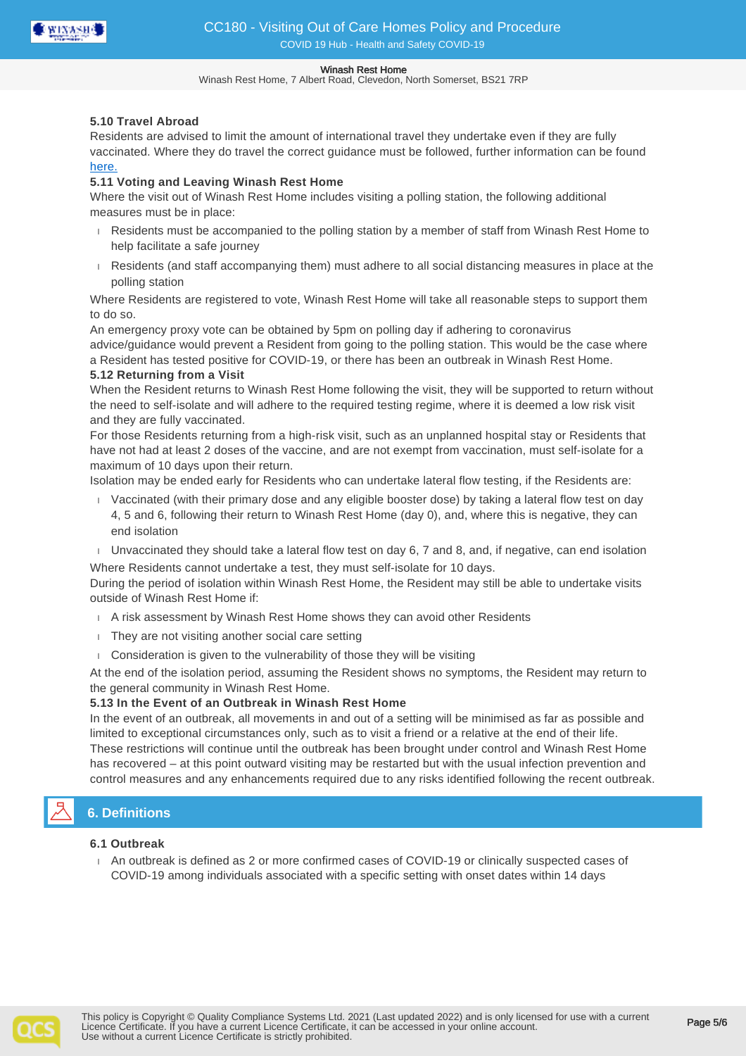

Winash Rest Home, 7 Albert Road, Clevedon, North Somerset, BS21 7RP

### **5.10 Travel Abroad**

Residents are advised to limit the amount of international travel they undertake even if they are fully vaccinated. Where they do travel the correct guidance must be followed, further information can be found [here.](https://www.gov.uk/foreign-travel-advice)

## **5.11 Voting and Leaving Winash Rest Home**

Where the visit out of Winash Rest Home includes visiting a polling station, the following additional measures must be in place:

- Residents must be accompanied to the polling station by a member of staff from Winash Rest Home to help facilitate a safe journey
- Residents (and staff accompanying them) must adhere to all social distancing measures in place at the polling station

Where Residents are registered to vote, Winash Rest Home will take all reasonable steps to support them to do so.

An emergency proxy vote can be obtained by 5pm on polling day if adhering to coronavirus advice/guidance would prevent a Resident from going to the polling station. This would be the case where a Resident has tested positive for COVID-19, or there has been an outbreak in Winash Rest Home.

## **5.12 Returning from a Visit**

When the Resident returns to Winash Rest Home following the visit, they will be supported to return without the need to self-isolate and will adhere to the required testing regime, where it is deemed a low risk visit and they are fully vaccinated.

For those Residents returning from a high-risk visit, such as an unplanned hospital stay or Residents that have not had at least 2 doses of the vaccine, and are not exempt from vaccination, must self-isolate for a maximum of 10 days upon their return.

Isolation may be ended early for Residents who can undertake lateral flow testing, if the Residents are:

- Vaccinated (with their primary dose and any eligible booster dose) by taking a lateral flow test on day 4, 5 and 6, following their return to Winash Rest Home (day 0), and, where this is negative, they can end isolation
- Unvaccinated they should take a lateral flow test on day  $6, 7$  and  $8,$  and, if negative, can end isolation

Where Residents cannot undertake a test, they must self-isolate for 10 days.

During the period of isolation within Winash Rest Home, the Resident may still be able to undertake visits outside of Winash Rest Home if:

- A risk assessment by Winash Rest Home shows they can avoid other Residents
- They are not visiting another social care setting
- Consideration is given to the vulnerability of those they will be visiting

At the end of the isolation period, assuming the Resident shows no symptoms, the Resident may return to the general community in Winash Rest Home.

## **5.13 In the Event of an Outbreak in Winash Rest Home**

In the event of an outbreak, all movements in and out of a setting will be minimised as far as possible and limited to exceptional circumstances only, such as to visit a friend or a relative at the end of their life. These restrictions will continue until the outbreak has been brought under control and Winash Rest Home has recovered – at this point outward visiting may be restarted but with the usual infection prevention and control measures and any enhancements required due to any risks identified following the recent outbreak.

# **6. Definitions**

## **6.1 Outbreak**

 An outbreak is defined as 2 or more confirmed cases of COVID-19 or clinically suspected cases of COVID-19 among individuals associated with a specific setting with onset dates within 14 days